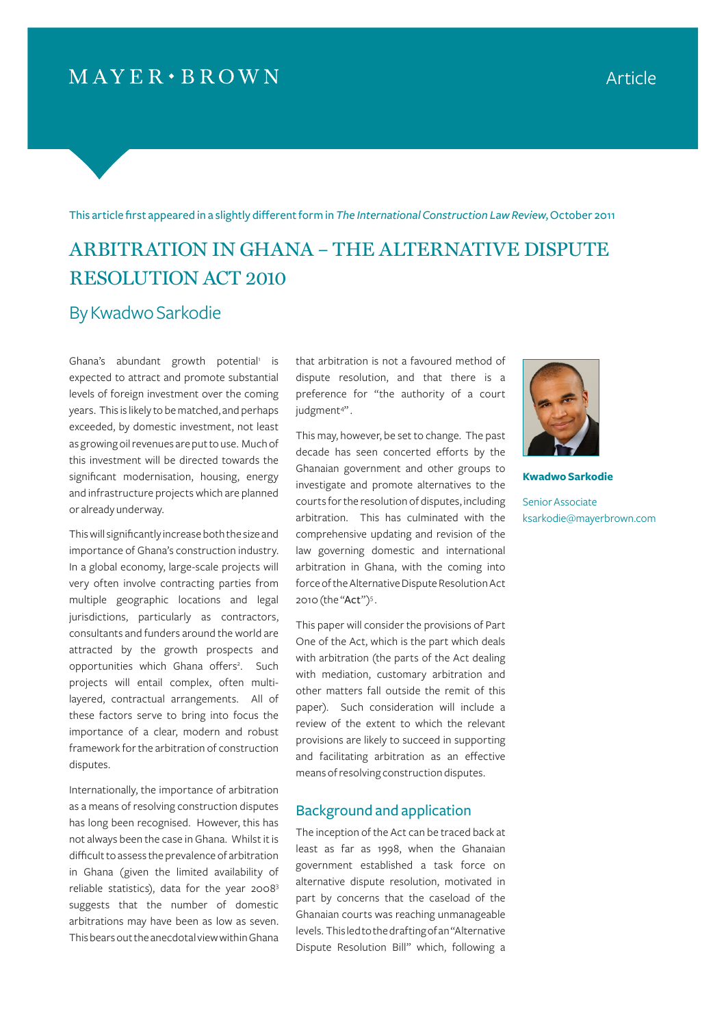# $MAYER \cdot BROWN$

This article first appeared in a slightly different form in *The International Construction Law Review*, October 2011

# ARBITRATION IN GHANA – THE ALTERNATIVE DISPUTE RESOLUTION ACT 2010

### By Kwadwo Sarkodie

Ghana's abundant growth potential<sup>1</sup> is expected to attract and promote substantial levels of foreign investment over the coming years. This is likely to be matched, and perhaps exceeded, by domestic investment, not least as growing oil revenues are put to use. Much of this investment will be directed towards the significant modernisation, housing, energy and infrastructure projects which are planned or already underway.

This will significantly increase both the size and importance of Ghana's construction industry. In a global economy, large-scale projects will very often involve contracting parties from multiple geographic locations and legal jurisdictions, particularly as contractors, consultants and funders around the world are attracted by the growth prospects and opportunities which Ghana offers<sup>2</sup>. Such projects will entail complex, often multilayered, contractual arrangements. All of these factors serve to bring into focus the importance of a clear, modern and robust framework for the arbitration of construction disputes.

Internationally, the importance of arbitration as a means of resolving construction disputes has long been recognised. However, this has not always been the case in Ghana. Whilst it is difficult to assess the prevalence of arbitration in Ghana (given the limited availability of reliable statistics), data for the year 20083 suggests that the number of domestic arbitrations may have been as low as seven. This bears out the anecdotal view within Ghana

that arbitration is not a favoured method of dispute resolution, and that there is a preference for "the authority of a court judgment<sup>4"</sup>.

This may, however, be set to change. The past decade has seen concerted efforts by the Ghanaian government and other groups to investigate and promote alternatives to the courts for the resolution of disputes, including arbitration. This has culminated with the comprehensive updating and revision of the law governing domestic and international arbitration in Ghana, with the coming into force of the Alternative Dispute Resolution Act 2010 (the "Act")<sup>5</sup>.

This paper will consider the provisions of Part One of the Act, which is the part which deals with arbitration (the parts of the Act dealing with mediation, customary arbitration and other matters fall outside the remit of this paper). Such consideration will include a review of the extent to which the relevant provisions are likely to succeed in supporting and facilitating arbitration as an effective means of resolving construction disputes.

### Background and application

The inception of the Act can be traced back at least as far as 1998, when the Ghanaian government established a task force on alternative dispute resolution, motivated in part by concerns that the caseload of the Ghanaian courts was reaching unmanageable levels. This led to the drafting of an "Alternative Dispute Resolution Bill" which, following a



**Kwadwo Sarkodie**

Senior Associate ksarkodie@mayerbrown.com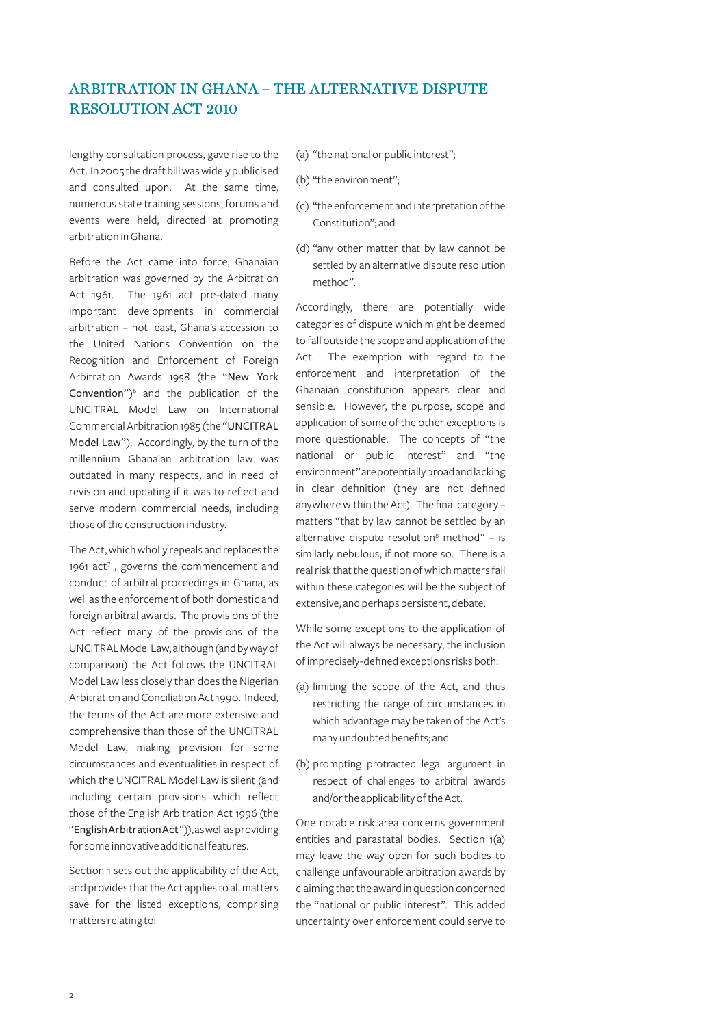lengthy consultation process, gave rise to the Act. In 2005 the draft bill was widely publicised and consulted upon. At the same time, numerous state training sessions, forums and events were held, directed at promoting arbitration in Ghana.

Before the Act came into force, Ghanaian arbitration was governed by the Arbitration Act 1961. The 1961 act pre-dated many important developments in commercial arbitration – not least, Ghana's accession to the United Nations Convention on the Recognition and Enforcement of Foreign Arbitration Awards 1958 (the "New York Convention")<sup>6</sup> and the publication of the UNCITRAL Model Law on International Commercial Arbitration 1985 (the "UNCITRAL Model Law"). Accordingly, by the turn of the millennium Ghanaian arbitration law was outdated in many respects, and in need of revision and updating if it was to reflect and serve modern commercial needs, including those of the construction industry.

The Act, which wholly repeals and replaces the 1961 act<sup>7</sup>, governs the commencement and conduct of arbitral proceedings in Ghana, as well as the enforcement of both domestic and foreign arbitral awards. The provisions of the Act reflect many of the provisions of the UNCITRAL Model Law, although (and by way of comparison) the Act follows the UNCITRAL Model Law less closely than does the Nigerian Arbitration and Conciliation Act 1990. Indeed, the terms of the Act are more extensive and comprehensive than those of the UNCITRAL Model Law, making provision for some circumstances and eventualities in respect of which the UNCITRAL Model Law is silent (and including certain provisions which reflect those of the English Arbitration Act 1996 (the "English Arbitration Act")), as well as providing for some innovative additional features.

Section 1 sets out the applicability of the Act, and provides that the Act applies to all matters save for the listed exceptions, comprising matters relating to:

(a) "the national or public interest";

- (b) "the environment";
- (c) "the enforcement and interpretation of the Constitution"; and
- (d) "any other matter that by law cannot be settled by an alternative dispute resolution method".

Accordingly, there are potentially wide categories of dispute which might be deemed to fall outside the scope and application of the Act. The exemption with regard to the enforcement and interpretation of the Ghanaian constitution appears clear and sensible. However, the purpose, scope and application of some of the other exceptions is more questionable. The concepts of "the national or public interest" and "the environment" are potentially broad and lacking in clear definition (they are not defined anywhere within the Act). The final category – matters "that by law cannot be settled by an alternative dispute resolution<sup>8</sup> method"  $-$  is similarly nebulous, if not more so. There is a real risk that the question of which matters fall within these categories will be the subject of extensive, and perhaps persistent, debate.

While some exceptions to the application of the Act will always be necessary, the inclusion of imprecisely-defined exceptions risks both:

- (a) limiting the scope of the Act, and thus restricting the range of circumstances in which advantage may be taken of the Act's many undoubted benefits; and
- (b) prompting protracted legal argument in respect of challenges to arbitral awards and/or the applicability of the Act.

One notable risk area concerns government entities and parastatal bodies. Section 1(a) may leave the way open for such bodies to challenge unfavourable arbitration awards by claiming that the award in question concerned the "national or public interest". This added uncertainty over enforcement could serve to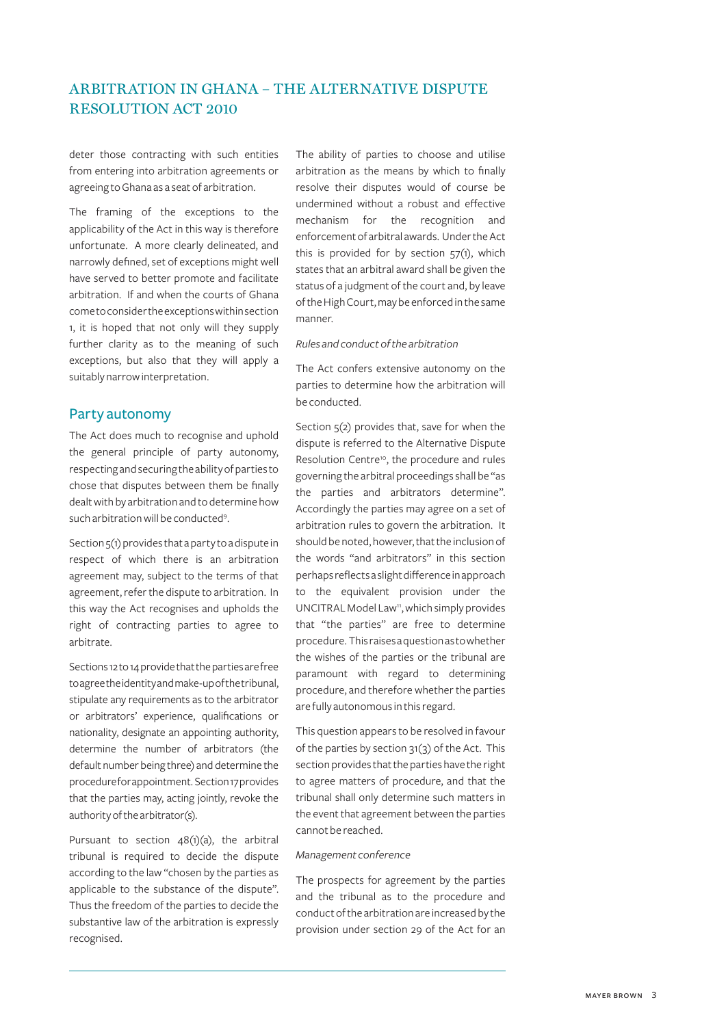deter those contracting with such entities from entering into arbitration agreements or agreeing to Ghana as a seat of arbitration.

The framing of the exceptions to the applicability of the Act in this way is therefore unfortunate. A more clearly delineated, and narrowly defined, set of exceptions might well have served to better promote and facilitate arbitration. If and when the courts of Ghana come to consider the exceptions within section 1, it is hoped that not only will they supply further clarity as to the meaning of such exceptions, but also that they will apply a suitably narrow interpretation.

### Party autonomy

The Act does much to recognise and uphold the general principle of party autonomy, respecting and securing the ability of parties to chose that disputes between them be finally dealt with by arbitration and to determine how such arbitration will be conducted<sup>9</sup>.

Section  $5(1)$  provides that a party to a dispute in respect of which there is an arbitration agreement may, subject to the terms of that agreement, refer the dispute to arbitration. In this way the Act recognises and upholds the right of contracting parties to agree to arbitrate.

Sections 12 to 14 provide that the parties are free to agree the identity and make-up of the tribunal, stipulate any requirements as to the arbitrator or arbitrators' experience, qualifications or nationality, designate an appointing authority, determine the number of arbitrators (the default number being three) and determine the procedure for appointment. Section 17 provides that the parties may, acting jointly, revoke the authority of the arbitrator(s).

Pursuant to section  $48(1)(a)$ , the arbitral tribunal is required to decide the dispute according to the law "chosen by the parties as applicable to the substance of the dispute". Thus the freedom of the parties to decide the substantive law of the arbitration is expressly recognised.

The ability of parties to choose and utilise arbitration as the means by which to finally resolve their disputes would of course be undermined without a robust and effective mechanism for the recognition and enforcement of arbitral awards. Under the Act this is provided for by section 57(1), which states that an arbitral award shall be given the status of a judgment of the court and, by leave of the High Court, may be enforced in the same manner.

### *Rules and conduct of the arbitration*

The Act confers extensive autonomy on the parties to determine how the arbitration will be conducted.

Section  $5(2)$  provides that, save for when the dispute is referred to the Alternative Dispute Resolution Centre<sup>10</sup>, the procedure and rules governing the arbitral proceedings shall be "as the parties and arbitrators determine". Accordingly the parties may agree on a set of arbitration rules to govern the arbitration. It should be noted, however, that the inclusion of the words "and arbitrators" in this section perhaps reflects a slight difference in approach to the equivalent provision under the UNCITRAL Model Law<sup>11</sup>, which simply provides that "the parties" are free to determine procedure. This raises a question as to whether the wishes of the parties or the tribunal are paramount with regard to determining procedure, and therefore whether the parties are fully autonomous in this regard.

This question appears to be resolved in favour of the parties by section 31(3) of the Act. This section provides that the parties have the right to agree matters of procedure, and that the tribunal shall only determine such matters in the event that agreement between the parties cannot be reached.

#### *Management conference*

The prospects for agreement by the parties and the tribunal as to the procedure and conduct of the arbitration are increased by the provision under section 29 of the Act for an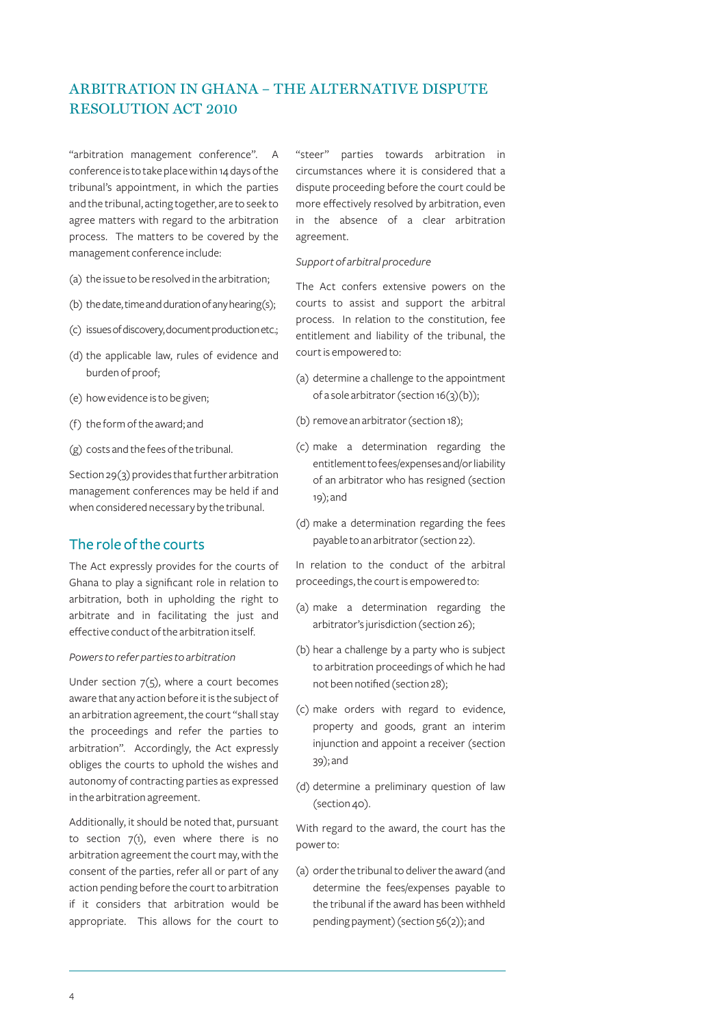"arbitration management conference". A conference is to take place within 14 days of the tribunal's appointment, in which the parties and the tribunal, acting together, are to seek to agree matters with regard to the arbitration process. The matters to be covered by the management conference include:

- (a) the issue to be resolved in the arbitration;
- (b) the date, time and duration of any hearing(s);
- (c) issues of discovery, document production etc.;
- (d) the applicable law, rules of evidence and burden of proof;
- (e) how evidence is to be given;
- (f) the form of the award; and
- (g) costs and the fees of the tribunal.

Section 29(3) provides that further arbitration management conferences may be held if and when considered necessary by the tribunal.

### The role of the courts

The Act expressly provides for the courts of Ghana to play a significant role in relation to arbitration, both in upholding the right to arbitrate and in facilitating the just and effective conduct of the arbitration itself.

#### *Powers to refer parties to arbitration*

Under section  $7(5)$ , where a court becomes aware that any action before it is the subject of an arbitration agreement, the court "shall stay the proceedings and refer the parties to arbitration". Accordingly, the Act expressly obliges the courts to uphold the wishes and autonomy of contracting parties as expressed in the arbitration agreement.

Additionally, it should be noted that, pursuant to section  $7(1)$ , even where there is no arbitration agreement the court may, with the consent of the parties, refer all or part of any action pending before the court to arbitration if it considers that arbitration would be appropriate. This allows for the court to

"steer" parties towards arbitration in circumstances where it is considered that a dispute proceeding before the court could be more effectively resolved by arbitration, even in the absence of a clear arbitration agreement.

#### *Support of arbitral procedure*

The Act confers extensive powers on the courts to assist and support the arbitral process. In relation to the constitution, fee entitlement and liability of the tribunal, the court is empowered to:

- (a) determine a challenge to the appointment of a sole arbitrator (section 16(3)(b));
- (b) remove an arbitrator (section 18);
- (c) make a determination regarding the entitlement to fees/expenses and/or liability of an arbitrator who has resigned (section 19); and
- (d) make a determination regarding the fees payable to an arbitrator (section 22).

In relation to the conduct of the arbitral proceedings, the court is empowered to:

- (a) make a determination regarding the arbitrator's jurisdiction (section 26);
- (b) hear a challenge by a party who is subject to arbitration proceedings of which he had not been notified (section 28);
- (c) make orders with regard to evidence, property and goods, grant an interim injunction and appoint a receiver (section 39); and
- (d) determine a preliminary question of law (section 40).

With regard to the award, the court has the power to:

(a) order the tribunal to deliver the award (and determine the fees/expenses payable to the tribunal if the award has been withheld pending payment) (section 56(2)); and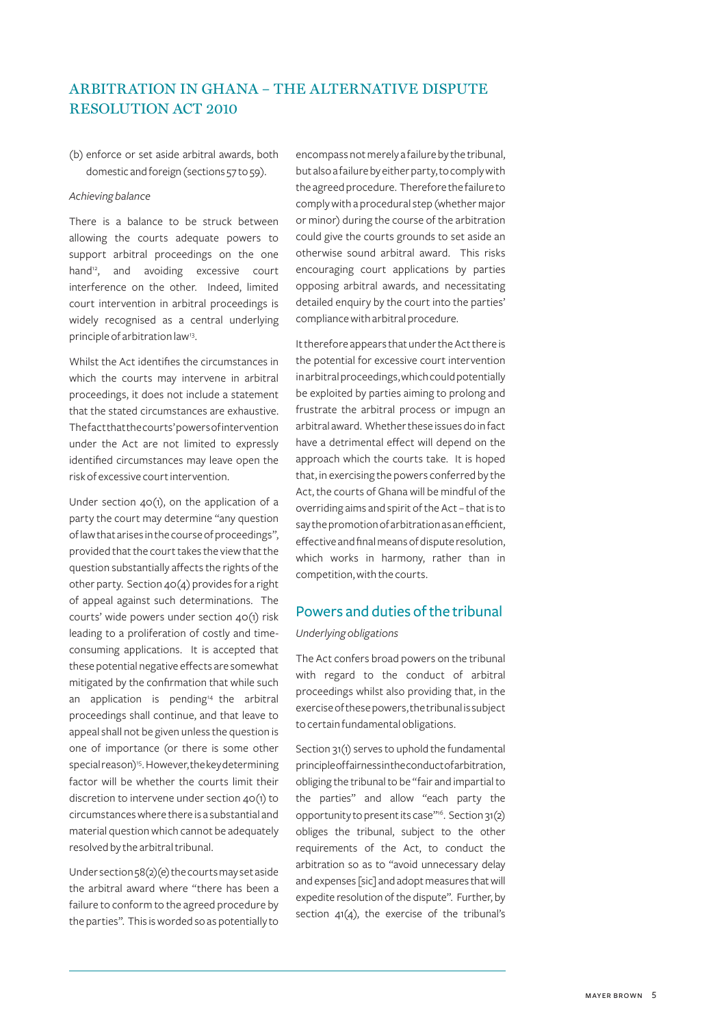(b) enforce or set aside arbitral awards, both domestic and foreign (sections 57 to 59).

#### *Achieving balance*

There is a balance to be struck between allowing the courts adequate powers to support arbitral proceedings on the one hand<sup>12</sup>, and avoiding excessive court interference on the other. Indeed, limited court intervention in arbitral proceedings is widely recognised as a central underlying principle of arbitration law<sup>13</sup>.

Whilst the Act identifies the circumstances in which the courts may intervene in arbitral proceedings, it does not include a statement that the stated circumstances are exhaustive. The fact that the courts' powers of intervention under the Act are not limited to expressly identified circumstances may leave open the risk of excessive court intervention.

Under section 40(1), on the application of a party the court may determine "any question of law that arises in the course of proceedings", provided that the court takes the view that the question substantially affects the rights of the other party. Section 40(4) provides for a right of appeal against such determinations. The courts' wide powers under section 40(1) risk leading to a proliferation of costly and timeconsuming applications. It is accepted that these potential negative effects are somewhat mitigated by the confirmation that while such an application is pending $14$  the arbitral proceedings shall continue, and that leave to appeal shall not be given unless the question is one of importance (or there is some other special reason)<sup>15</sup>. However, the key determining factor will be whether the courts limit their discretion to intervene under section 40(1) to circumstances where there is a substantial and material question which cannot be adequately resolved by the arbitral tribunal.

Under section 58(2)(e) the courts may set aside the arbitral award where "there has been a failure to conform to the agreed procedure by the parties". This is worded so as potentially to encompass not merely a failure by the tribunal, but also a failure by either party, to comply with the agreed procedure. Therefore the failure to comply with a procedural step (whether major or minor) during the course of the arbitration could give the courts grounds to set aside an otherwise sound arbitral award. This risks encouraging court applications by parties opposing arbitral awards, and necessitating detailed enquiry by the court into the parties' compliance with arbitral procedure.

It therefore appears that under the Act there is the potential for excessive court intervention in arbitral proceedings, which could potentially be exploited by parties aiming to prolong and frustrate the arbitral process or impugn an arbitral award. Whether these issues do in fact have a detrimental effect will depend on the approach which the courts take. It is hoped that, in exercising the powers conferred by the Act, the courts of Ghana will be mindful of the overriding aims and spirit of the Act – that is to say the promotion of arbitration as an efficient, effective and final means of dispute resolution, which works in harmony, rather than in competition, with the courts.

### Powers and duties of the tribunal

### *Underlying obligations*

The Act confers broad powers on the tribunal with regard to the conduct of arbitral proceedings whilst also providing that, in the exercise of these powers, the tribunal is subject to certain fundamental obligations.

Section 31(1) serves to uphold the fundamental principle of fairness in the conduct of arbitration, obliging the tribunal to be "fair and impartial to the parties" and allow "each party the opportunity to present its case"16. Section 31(2) obliges the tribunal, subject to the other requirements of the Act, to conduct the arbitration so as to "avoid unnecessary delay and expenses [sic] and adopt measures that will expedite resolution of the dispute". Further, by section 41(4), the exercise of the tribunal's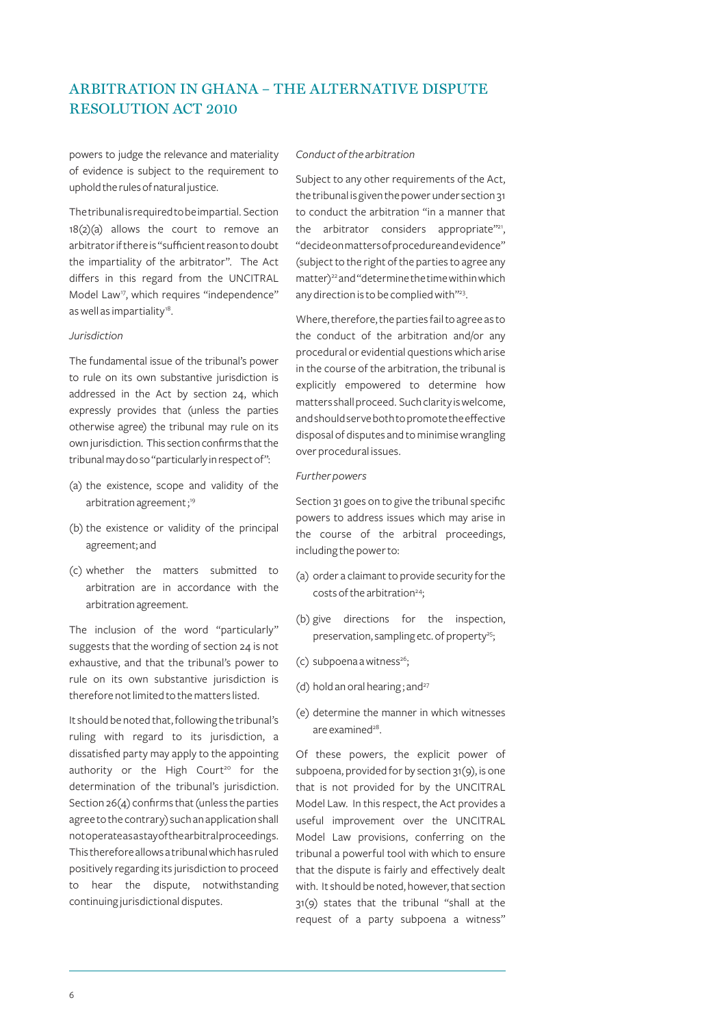powers to judge the relevance and materiality of evidence is subject to the requirement to uphold the rules of natural justice.

The tribunal is required to be impartial. Section 18(2)(a) allows the court to remove an arbitrator if there is "sufficient reason to doubt the impartiality of the arbitrator". The Act differs in this regard from the UNCITRAL Model Law<sup>17</sup>, which requires "independence" as well as impartiality<sup>18</sup>.

#### *Jurisdiction*

The fundamental issue of the tribunal's power to rule on its own substantive jurisdiction is addressed in the Act by section 24, which expressly provides that (unless the parties otherwise agree) the tribunal may rule on its own jurisdiction. This section confirms that the tribunal may do so "particularly in respect of":

- (a) the existence, scope and validity of the arbitration agreement;<sup>19</sup>
- (b) the existence or validity of the principal agreement; and
- (c) whether the matters submitted to arbitration are in accordance with the arbitration agreement.

The inclusion of the word "particularly" suggests that the wording of section 24 is not exhaustive, and that the tribunal's power to rule on its own substantive jurisdiction is therefore not limited to the matters listed.

It should be noted that, following the tribunal's ruling with regard to its jurisdiction, a dissatisfied party may apply to the appointing authority or the High Court<sup>20</sup> for the determination of the tribunal's jurisdiction. Section 26(4) confirms that (unless the parties agree to the contrary) such an application shall not operate as a stay of the arbitral proceedings. This therefore allows a tribunal which has ruled positively regarding its jurisdiction to proceed to hear the dispute, notwithstanding continuing jurisdictional disputes.

*Conduct of the arbitration*

Subject to any other requirements of the Act, the tribunal is given the power under section 31 to conduct the arbitration "in a manner that the arbitrator considers appropriate"21, "decide on matters of procedure and evidence" (subject to the right of the parties to agree any matter)<sup>22</sup> and "determine the time within which any direction is to be complied with"23.

Where, therefore, the parties fail to agree as to the conduct of the arbitration and/or any procedural or evidential questions which arise in the course of the arbitration, the tribunal is explicitly empowered to determine how matters shall proceed. Such clarity is welcome, and should serve both to promote the effective disposal of disputes and to minimise wrangling over procedural issues.

#### *Further powers*

Section 31 goes on to give the tribunal specific powers to address issues which may arise in the course of the arbitral proceedings, including the power to:

- (a) order a claimant to provide security for the costs of the arbitration24;
- (b) give directions for the inspection, preservation, sampling etc. of property<sup>25</sup>;
- $(c)$  subpoena a witness<sup>26</sup>;
- (d) hold an oral hearing; and $27$
- (e) determine the manner in which witnesses are examined<sup>28</sup>.

Of these powers, the explicit power of subpoena, provided for by section 31(9), is one that is not provided for by the UNCITRAL Model Law. In this respect, the Act provides a useful improvement over the UNCITRAL Model Law provisions, conferring on the tribunal a powerful tool with which to ensure that the dispute is fairly and effectively dealt with. It should be noted, however, that section 31(9) states that the tribunal "shall at the request of a party subpoena a witness"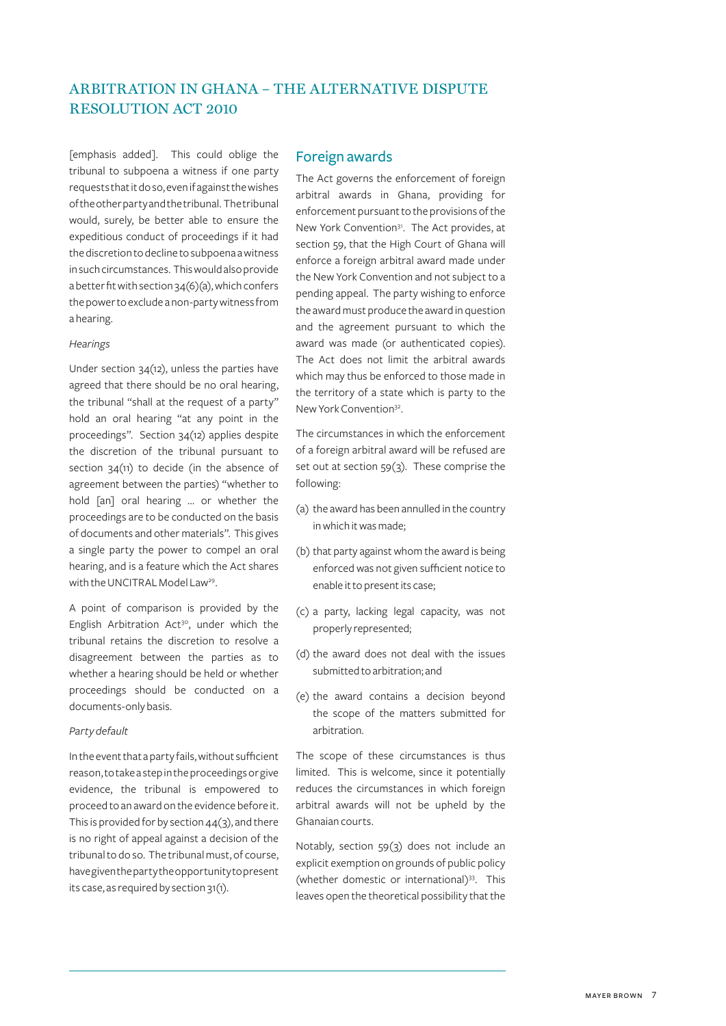[emphasis added]. This could oblige the tribunal to subpoena a witness if one party requests that it do so, even if against the wishes of the other party and the tribunal. The tribunal would, surely, be better able to ensure the expeditious conduct of proceedings if it had the discretion to decline to subpoena a witness in such circumstances. This would also provide a better fit with section 34(6)(a), which confers the power to exclude a non-party witness from a hearing.

#### *Hearings*

Under section 34(12), unless the parties have agreed that there should be no oral hearing, the tribunal "shall at the request of a party" hold an oral hearing "at any point in the proceedings". Section 34(12) applies despite the discretion of the tribunal pursuant to section 34(11) to decide (in the absence of agreement between the parties) "whether to hold [an] oral hearing ... or whether the proceedings are to be conducted on the basis of documents and other materials". This gives a single party the power to compel an oral hearing, and is a feature which the Act shares with the UNCITRAL Model Law<sup>29</sup>.

A point of comparison is provided by the English Arbitration Act<sup>30</sup>, under which the tribunal retains the discretion to resolve a disagreement between the parties as to whether a hearing should be held or whether proceedings should be conducted on a documents-only basis.

#### *Party default*

In the event that a party fails, without sufficient reason, to take a step in the proceedings or give evidence, the tribunal is empowered to proceed to an award on the evidence before it. This is provided for by section  $44(3)$ , and there is no right of appeal against a decision of the tribunal to do so. The tribunal must, of course, have given the party the opportunity to present its case, as required by section 31(1).

### Foreign awards

The Act governs the enforcement of foreign arbitral awards in Ghana, providing for enforcement pursuant to the provisions of the New York Convention<sup>31</sup>. The Act provides, at section 59, that the High Court of Ghana will enforce a foreign arbitral award made under the New York Convention and not subject to a pending appeal. The party wishing to enforce the award must produce the award in question and the agreement pursuant to which the award was made (or authenticated copies). The Act does not limit the arbitral awards which may thus be enforced to those made in the territory of a state which is party to the New York Convention32.

The circumstances in which the enforcement of a foreign arbitral award will be refused are set out at section 59(3). These comprise the following:

- (a) the award has been annulled in the country in which it was made;
- (b) that party against whom the award is being enforced was not given sufficient notice to enable it to present its case;
- (c) a party, lacking legal capacity, was not properly represented;
- (d) the award does not deal with the issues submitted to arbitration; and
- (e) the award contains a decision beyond the scope of the matters submitted for arbitration.

The scope of these circumstances is thus limited. This is welcome, since it potentially reduces the circumstances in which foreign arbitral awards will not be upheld by the Ghanaian courts.

Notably, section 59(3) does not include an explicit exemption on grounds of public policy (whether domestic or international)33. This leaves open the theoretical possibility that the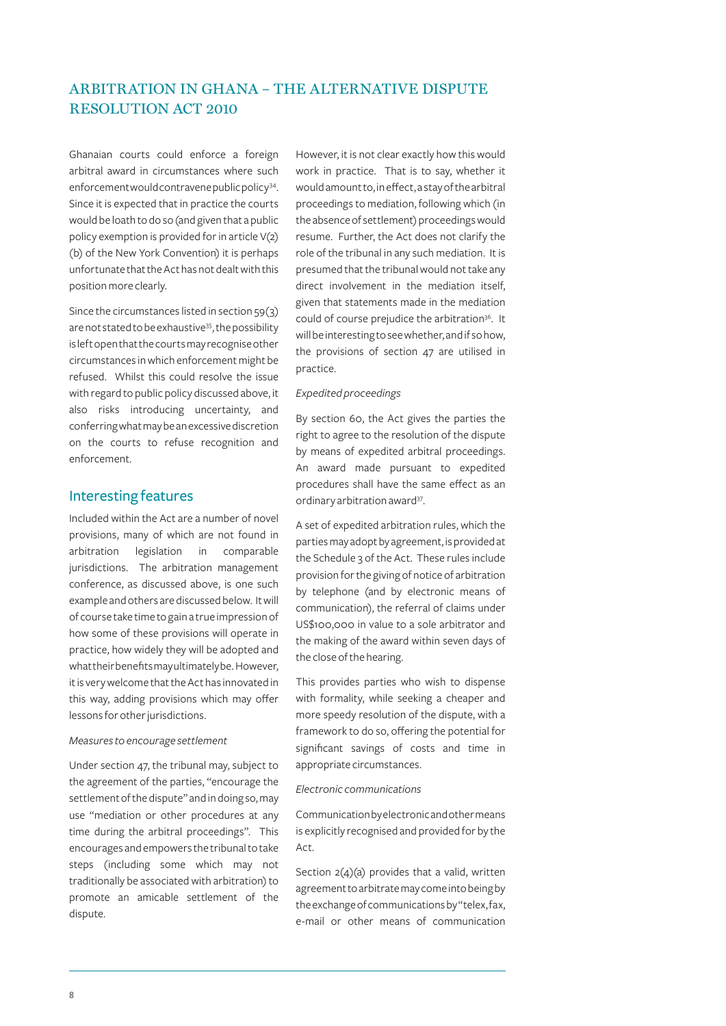Ghanaian courts could enforce a foreign arbitral award in circumstances where such enforcement would contravene public policy<sup>34</sup>. Since it is expected that in practice the courts would be loath to do so (and given that a public policy exemption is provided for in article V(2) (b) of the New York Convention) it is perhaps unfortunate that the Act has not dealt with this position more clearly.

Since the circumstances listed in section 59(3) are not stated to be exhaustive<sup>35</sup>, the possibility is left open that the courts may recognise other circumstances in which enforcement might be refused. Whilst this could resolve the issue with regard to public policy discussed above, it also risks introducing uncertainty, and conferring what may be an excessive discretion on the courts to refuse recognition and enforcement.

### Interesting features

Included within the Act are a number of novel provisions, many of which are not found in arbitration legislation in comparable jurisdictions. The arbitration management conference, as discussed above, is one such example and others are discussed below. It will of course take time to gain a true impression of how some of these provisions will operate in practice, how widely they will be adopted and what their benefits may ultimately be. However, it is very welcome that the Act has innovated in this way, adding provisions which may offer lessons for other jurisdictions.

#### *Measures to encourage settlement*

Under section 47, the tribunal may, subject to the agreement of the parties, "encourage the settlement of the dispute" and in doing so, may use "mediation or other procedures at any time during the arbitral proceedings". This encourages and empowers the tribunal to take steps (including some which may not traditionally be associated with arbitration) to promote an amicable settlement of the dispute.

However, it is not clear exactly how this would work in practice. That is to say, whether it would amount to, in effect, a stay of the arbitral proceedings to mediation, following which (in the absence of settlement) proceedings would resume. Further, the Act does not clarify the role of the tribunal in any such mediation. It is presumed that the tribunal would not take any direct involvement in the mediation itself, given that statements made in the mediation could of course prejudice the arbitration<sup>36</sup>. It will be interesting to see whether, and if so how, the provisions of section 47 are utilised in practice.

#### *Expedited proceedings*

By section 60, the Act gives the parties the right to agree to the resolution of the dispute by means of expedited arbitral proceedings. An award made pursuant to expedited procedures shall have the same effect as an ordinary arbitration award<sup>37</sup>.

A set of expedited arbitration rules, which the parties may adopt by agreement, is provided at the Schedule 3 of the Act. These rules include provision for the giving of notice of arbitration by telephone (and by electronic means of communication), the referral of claims under US\$100,000 in value to a sole arbitrator and the making of the award within seven days of the close of the hearing.

This provides parties who wish to dispense with formality, while seeking a cheaper and more speedy resolution of the dispute, with a framework to do so, offering the potential for significant savings of costs and time in appropriate circumstances.

#### *Electronic communications*

Communication by electronic and other means is explicitly recognised and provided for by the Act.

Section  $2(4)(a)$  provides that a valid, written agreement to arbitrate may come into being by the exchange of communications by "telex, fax, e-mail or other means of communication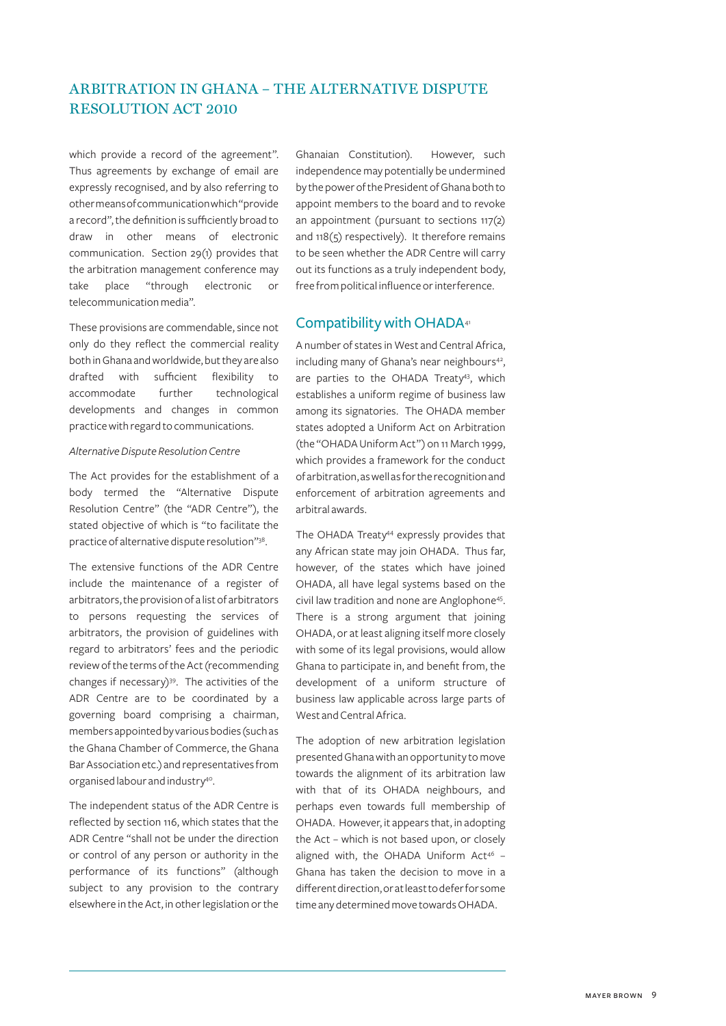which provide a record of the agreement". Thus agreements by exchange of email are expressly recognised, and by also referring to other means of communication which "provide a record", the definition is sufficiently broad to draw in other means of electronic communication. Section 29(1) provides that the arbitration management conference may take place "through electronic or telecommunication media".

These provisions are commendable, since not only do they reflect the commercial reality both in Ghana and worldwide, but they are also drafted with sufficient flexibility to accommodate further technological developments and changes in common practice with regard to communications.

#### *Alternative Dispute Resolution Centre*

The Act provides for the establishment of a body termed the "Alternative Dispute Resolution Centre" (the "ADR Centre"), the stated objective of which is "to facilitate the practice of alternative dispute resolution"38.

The extensive functions of the ADR Centre include the maintenance of a register of arbitrators, the provision of a list of arbitrators to persons requesting the services of arbitrators, the provision of guidelines with regard to arbitrators' fees and the periodic review of the terms of the Act (recommending changes if necessary)<sup>39</sup>. The activities of the ADR Centre are to be coordinated by a governing board comprising a chairman, members appointed by various bodies (such as the Ghana Chamber of Commerce, the Ghana Bar Association etc.) and representatives from organised labour and industry40.

The independent status of the ADR Centre is reflected by section 116, which states that the ADR Centre "shall not be under the direction or control of any person or authority in the performance of its functions" (although subject to any provision to the contrary elsewhere in the Act, in other legislation or the

Ghanaian Constitution). However, such independence may potentially be undermined by the power of the President of Ghana both to appoint members to the board and to revoke an appointment (pursuant to sections 117(2) and 118(5) respectively). It therefore remains to be seen whether the ADR Centre will carry out its functions as a truly independent body, free from political influence or interference.

### Compatibility with OHADA<sup>41</sup>

A number of states in West and Central Africa, including many of Ghana's near neighbours<sup>42</sup>, are parties to the OHADA Treaty<sup>43</sup>, which establishes a uniform regime of business law among its signatories. The OHADA member states adopted a Uniform Act on Arbitration (the "OHADA Uniform Act") on 11 March 1999, which provides a framework for the conduct of arbitration, as well as for the recognition and enforcement of arbitration agreements and arbitral awards.

The OHADA Treaty<sup>44</sup> expressly provides that any African state may join OHADA. Thus far, however, of the states which have joined OHADA, all have legal systems based on the civil law tradition and none are Anglophone<sup>45</sup>. There is a strong argument that joining OHADA, or at least aligning itself more closely with some of its legal provisions, would allow Ghana to participate in, and benefit from, the development of a uniform structure of business law applicable across large parts of West and Central Africa.

The adoption of new arbitration legislation presented Ghana with an opportunity to move towards the alignment of its arbitration law with that of its OHADA neighbours, and perhaps even towards full membership of OHADA. However, it appears that, in adopting the Act – which is not based upon, or closely aligned with, the OHADA Uniform Act<sup>46</sup> -Ghana has taken the decision to move in a different direction, or at least to defer for some time any determined move towards OHADA.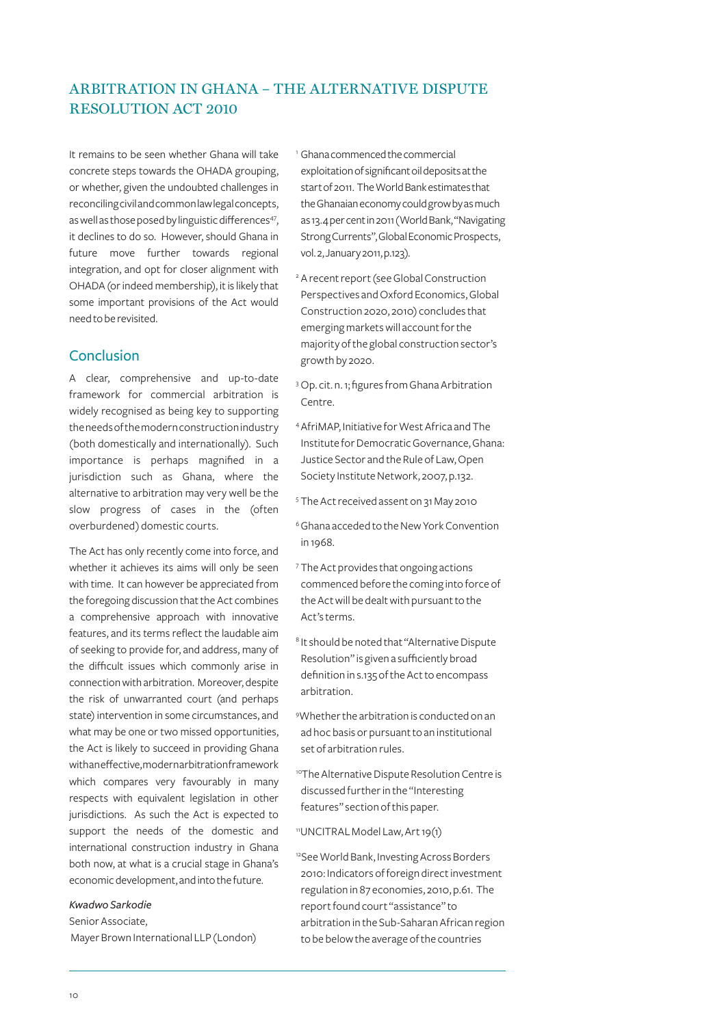It remains to be seen whether Ghana will take concrete steps towards the OHADA grouping, or whether, given the undoubted challenges in reconciling civil and common law legal concepts, as well as those posed by linguistic differences<sup>47</sup>, it declines to do so. However, should Ghana in future move further towards regional integration, and opt for closer alignment with OHADA (or indeed membership), it is likely that some important provisions of the Act would need to be revisited.

### Conclusion

A clear, comprehensive and up-to-date framework for commercial arbitration is widely recognised as being key to supporting the needs of the modern construction industry (both domestically and internationally). Such importance is perhaps magnified in a jurisdiction such as Ghana, where the alternative to arbitration may very well be the slow progress of cases in the (often overburdened) domestic courts.

The Act has only recently come into force, and whether it achieves its aims will only be seen with time. It can however be appreciated from the foregoing discussion that the Act combines a comprehensive approach with innovative features, and its terms reflect the laudable aim of seeking to provide for, and address, many of the difficult issues which commonly arise in connection with arbitration. Moreover, despite the risk of unwarranted court (and perhaps state) intervention in some circumstances, and what may be one or two missed opportunities, the Act is likely to succeed in providing Ghana with an effective, modern arbitration framework which compares very favourably in many respects with equivalent legislation in other jurisdictions. As such the Act is expected to support the needs of the domestic and international construction industry in Ghana both now, at what is a crucial stage in Ghana's economic development, and into the future.

#### *Kwadwo Sarkodie*

Senior Associate, Mayer Brown International LLP (London)

- <sup>1</sup> Ghana commenced the commercial exploitation of significant oil deposits at the start of 2011. The World Bank estimates that the Ghanaian economy could grow by as much as 13.4 per cent in 2011 (World Bank, "Navigating Strong Currents", Global Economic Prospects, vol. 2, January 2011, p.123).
- <sup>2</sup> A recent report (see Global Construction Perspectives and Oxford Economics, Global Construction 2020, 2010) concludes that emerging markets will account for the majority of the global construction sector's growth by 2020.
- <sup>3</sup> Op. cit. n. 1; figures from Ghana Arbitration Centre.
- 4AfriMAP, Initiative for West Africa and The Institute for Democratic Governance, Ghana: Justice Sector and the Rule of Law, Open Society Institute Network, 2007, p.132.
- <sup>5</sup> The Act received assent on 31 May 2010
- 6Ghana acceded to the New York Convention in 1968.
- <sup>7</sup> The Act provides that ongoing actions commenced before the coming into force of the Act will be dealt with pursuant to the Act's terms.
- <sup>8</sup> It should be noted that "Alternative Dispute Resolution" is given a sufficiently broad definition in s.135 of the Act to encompass arbitration.
- 9 Whether the arbitration is conducted on an ad hoc basis or pursuant to an institutional set of arbitration rules.
- 10The Alternative Dispute Resolution Centre is discussed further in the "Interesting features" section of this paper.
- 11UNCITRAL Model Law, Art 19(1)
- <sup>12</sup>See World Bank, Investing Across Borders 2010: Indicators of foreign direct investment regulation in 87 economies, 2010, p.61. The report found court "assistance" to arbitration in the Sub-Saharan African region to be below the average of the countries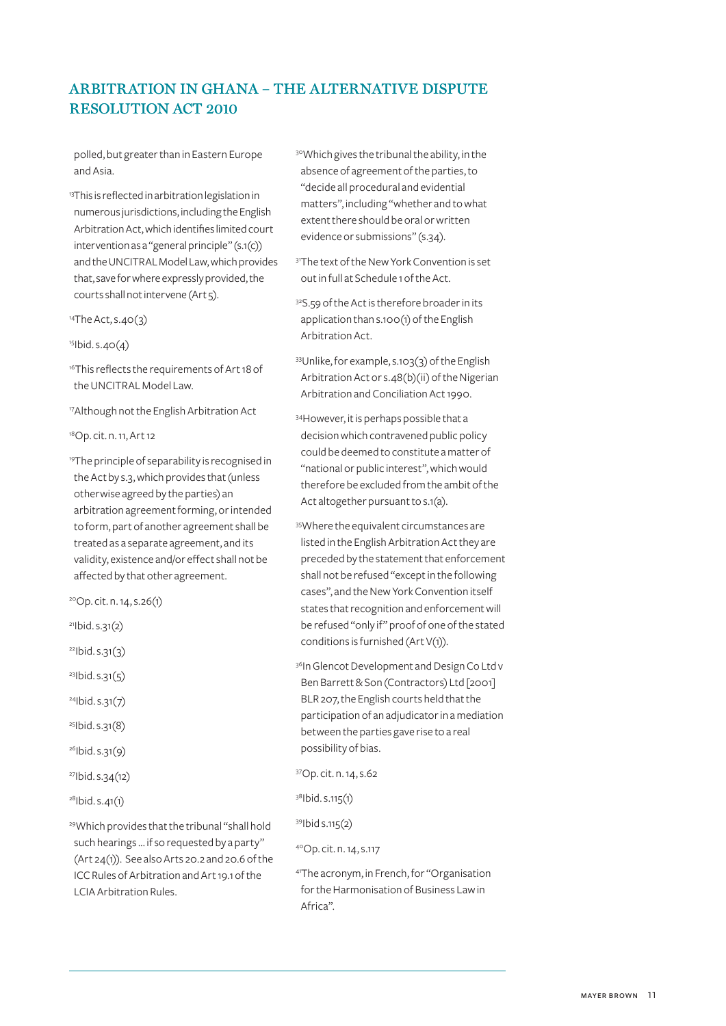polled, but greater than in Eastern Europe and Asia.

<sup>13</sup>This is reflected in arbitration legislation in numerous jurisdictions, including the English Arbitration Act, which identifies limited court intervention as a "general principle" (s.1(c)) and the UNCITRAL Model Law, which provides that, save for where expressly provided, the courts shall not intervene (Art 5).

 $14$ The Act, s.40 $(3)$ 

 $15$ Ibid. s. $40(4)$ 

<sup>16</sup>This reflects the requirements of Art 18 of the UNCITRAL Model Law.

17Although not the English Arbitration Act

18Op. cit. n. 11, Art 12

19The principle of separability is recognised in the Act by s.3, which provides that (unless otherwise agreed by the parties) an arbitration agreement forming, or intended to form, part of another agreement shall be treated as a separate agreement, and its validity, existence and/or effect shall not be affected by that other agreement.

20Op. cit. n. 14, s.26(1)

- $211$ bid. s. 31(2)
- $22$ Ibid. s. 31(3)

 $231$ bid. s. 31(5)

- $24$ Ibid. s.31(7)
- 25Ibid. s.31(8)
- $26$ Ibid. s.31(9)
- 27Ibid. s.34(12)
- $28$ Ibid. s.41(1)

29Which provides that the tribunal "shall hold such hearings ... if so requested by a party" (Art 24(1)). See also Arts 20.2 and 20.6 of the ICC Rules of Arbitration and Art 19.1 of the LCIA Arbitration Rules.

30Which gives the tribunal the ability, in the absence of agreement of the parties, to "decide all procedural and evidential matters", including "whether and to what extent there should be oral or written evidence or submissions" (s.34).

- <sup>31</sup>The text of the New York Convention is set out in full at Schedule 1 of the Act.
- 32S.59 of the Act is therefore broader in its application than s.100(1) of the English Arbitration Act.
- 33Unlike, for example, s.103(3) of the English Arbitration Act or s.48(b)(ii) of the Nigerian Arbitration and Conciliation Act 1990.
- 34However, it is perhaps possible that a decision which contravened public policy could be deemed to constitute a matter of "national or public interest", which would therefore be excluded from the ambit of the Act altogether pursuant to s.1(a).
- 35Where the equivalent circumstances are listed in the English Arbitration Act they are preceded by the statement that enforcement shall not be refused "except in the following cases", and the New York Convention itself states that recognition and enforcement will be refused "only if" proof of one of the stated conditions is furnished (Art V(1)).
- 36In Glencot Development and Design Co Ltd v Ben Barrett & Son (Contractors) Ltd [2001] BLR 207, the English courts held that the participation of an adjudicator in a mediation between the parties gave rise to a real possibility of bias.

37Op. cit. n. 14, s.62

38Ibid. s.115(1)

39Ibid s.115(2)

40Op. cit. n. 14, s.117

41The acronym, in French, for "Organisation for the Harmonisation of Business Law in Africa".